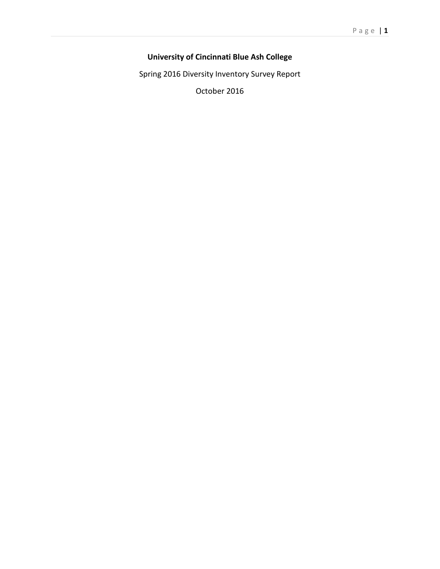# **University of Cincinnati Blue Ash College**

Spring 2016 Diversity Inventory Survey Report

October 2016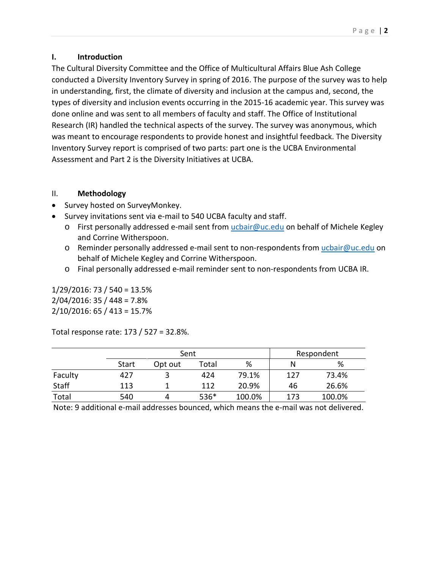# **I. Introduction**

The Cultural Diversity Committee and the Office of Multicultural Affairs Blue Ash College conducted a Diversity Inventory Survey in spring of 2016. The purpose of the survey was to help in understanding, first, the climate of diversity and inclusion at the campus and, second, the types of diversity and inclusion events occurring in the 2015-16 academic year. This survey was done online and was sent to all members of faculty and staff. The Office of Institutional Research (IR) handled the technical aspects of the survey. The survey was anonymous, which was meant to encourage respondents to provide honest and insightful feedback. The Diversity Inventory Survey report is comprised of two parts: part one is the UCBA Environmental Assessment and Part 2 is the Diversity Initiatives at UCBA.

# II. **Methodology**

- Survey hosted on SurveyMonkey.
- Survey invitations sent via e-mail to 540 UCBA faculty and staff.
	- o First personally addressed e-mail sent from [ucbair@uc.edu](mailto:ucbair@uc.edu) on behalf of Michele Kegley and Corrine Witherspoon.
	- o Reminder personally addressed e-mail sent to non-respondents from [ucbair@uc.edu](mailto:ucbair@uc.edu) on behalf of Michele Kegley and Corrine Witherspoon.
	- o Final personally addressed e-mail reminder sent to non-respondents from UCBA IR.

1/29/2016: 73 / 540 = 13.5% 2/04/2016: 35 / 448 = 7.8% 2/10/2016: 65 / 413 = 15.7%

Total response rate: 173 / 527 = 32.8%.

|         | Sent         |         |       |        | Respondent |        |  |  |
|---------|--------------|---------|-------|--------|------------|--------|--|--|
|         | <b>Start</b> | Opt out | Total | %      | N          | %      |  |  |
| Faculty | 427          |         | 424   | 79.1%  | 127        | 73.4%  |  |  |
| Staff   | 113          |         | 112   | 20.9%  | 46         | 26.6%  |  |  |
| Total   | 540          |         | 536*  | 100.0% | 173        | 100.0% |  |  |

Note: 9 additional e-mail addresses bounced, which means the e-mail was not delivered.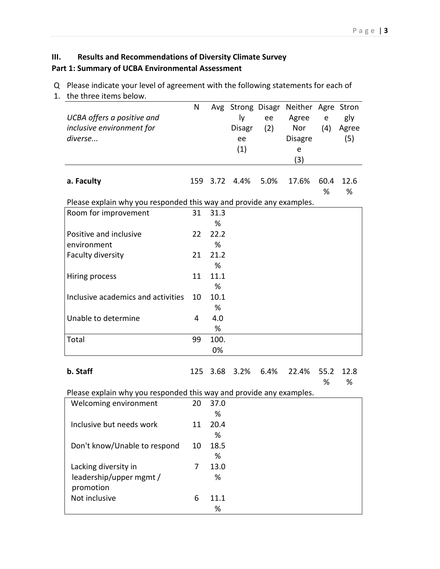# **III. Results and Recommendations of Diversity Climate Survey Part 1: Summary of UCBA Environmental Assessment**

Q Please indicate your level of agreement with the following statements for each of

1. the three items below.

| UCBA offers a positive and<br>inclusive environment for<br>diverse  | N  |           | ly<br><b>Disagr</b><br>ee<br>(1) | ee<br>(2) | Avg Strong Disagr Neither Agre Stron<br>Agree<br>Nor<br><b>Disagre</b><br>e<br>(3) | $\mathsf{e}% _{t}\left( t\right)$<br>(4) | gly<br>Agree<br>(5) |
|---------------------------------------------------------------------|----|-----------|----------------------------------|-----------|------------------------------------------------------------------------------------|------------------------------------------|---------------------|
| a. Faculty                                                          |    |           | 159 3.72 4.4%                    | 5.0%      | 17.6%                                                                              | 60.4<br>%                                | 12.6<br>%           |
| Please explain why you responded this way and provide any examples. |    |           |                                  |           |                                                                                    |                                          |                     |
| Room for improvement                                                | 31 | 31.3<br>% |                                  |           |                                                                                    |                                          |                     |
| Positive and inclusive                                              | 22 | 22.2      |                                  |           |                                                                                    |                                          |                     |
| environment                                                         |    | %         |                                  |           |                                                                                    |                                          |                     |
| Faculty diversity                                                   | 21 | 21.2      |                                  |           |                                                                                    |                                          |                     |
|                                                                     |    | %         |                                  |           |                                                                                    |                                          |                     |
| Hiring process                                                      | 11 | 11.1      |                                  |           |                                                                                    |                                          |                     |
|                                                                     |    | %         |                                  |           |                                                                                    |                                          |                     |
| Inclusive academics and activities                                  | 10 | 10.1      |                                  |           |                                                                                    |                                          |                     |
|                                                                     |    | %         |                                  |           |                                                                                    |                                          |                     |
| Unable to determine                                                 | 4  | 4.0       |                                  |           |                                                                                    |                                          |                     |
|                                                                     |    | %         |                                  |           |                                                                                    |                                          |                     |
| Total                                                               | 99 | 100.      |                                  |           |                                                                                    |                                          |                     |
|                                                                     |    | 0%        |                                  |           |                                                                                    |                                          |                     |
| b. Staff                                                            |    | 125 3.68  | 3.2%                             | 6.4%      | 22.4%                                                                              | 55.2<br>%                                | 12.8<br>%           |
| Please explain why you responded this way and provide any examples. |    |           |                                  |           |                                                                                    |                                          |                     |
| Welcoming environment                                               | 20 | 37.0      |                                  |           |                                                                                    |                                          |                     |
|                                                                     |    | %         |                                  |           |                                                                                    |                                          |                     |
| Inclusive but needs work                                            | 11 | 20.4      |                                  |           |                                                                                    |                                          |                     |
|                                                                     |    | %         |                                  |           |                                                                                    |                                          |                     |
| Don't know/Unable to respond                                        | 10 | 18.5      |                                  |           |                                                                                    |                                          |                     |
|                                                                     |    | %         |                                  |           |                                                                                    |                                          |                     |
| Lacking diversity in                                                | 7  | 13.0      |                                  |           |                                                                                    |                                          |                     |
| leadership/upper mgmt /<br>promotion                                |    | %         |                                  |           |                                                                                    |                                          |                     |
| Not inclusive                                                       | 6  | 11.1      |                                  |           |                                                                                    |                                          |                     |
|                                                                     |    | $\%$      |                                  |           |                                                                                    |                                          |                     |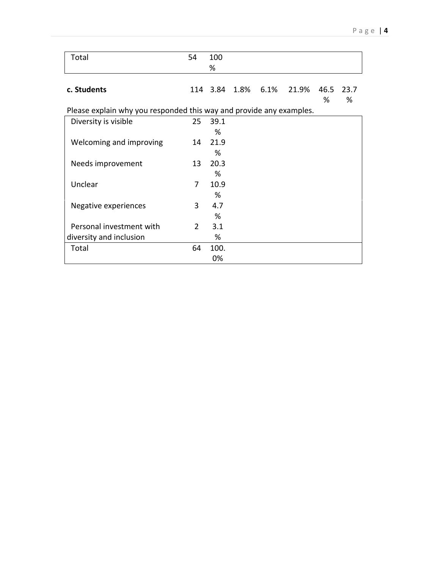| Total                                                               | 54            | 100<br>% |      |         |       |           |           |
|---------------------------------------------------------------------|---------------|----------|------|---------|-------|-----------|-----------|
|                                                                     |               |          |      |         |       |           |           |
| c. Students                                                         |               | 114 3.84 | 1.8% | $6.1\%$ | 21.9% | 46.5<br>% | 23.7<br>% |
| Please explain why you responded this way and provide any examples. |               |          |      |         |       |           |           |
| Diversity is visible                                                | 25            | 39.1     |      |         |       |           |           |
|                                                                     |               | %        |      |         |       |           |           |
| Welcoming and improving                                             | 14            | 21.9     |      |         |       |           |           |
|                                                                     |               | %        |      |         |       |           |           |
| Needs improvement                                                   | 13            | 20.3     |      |         |       |           |           |
|                                                                     |               | %        |      |         |       |           |           |
| Unclear                                                             | 7             | 10.9     |      |         |       |           |           |
|                                                                     |               | %        |      |         |       |           |           |
| Negative experiences                                                | 3             | 4.7      |      |         |       |           |           |
|                                                                     |               | %        |      |         |       |           |           |
| Personal investment with                                            | $\mathcal{P}$ | 3.1      |      |         |       |           |           |
| diversity and inclusion                                             |               | %        |      |         |       |           |           |
| Total                                                               | 64            | 100.     |      |         |       |           |           |
|                                                                     |               | 0%       |      |         |       |           |           |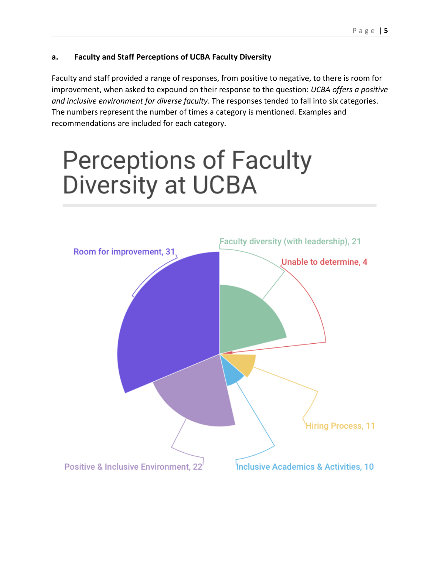# **a. Faculty and Staff Perceptions of UCBA Faculty Diversity**

Faculty and staff provided a range of responses, from positive to negative, to there is room for improvement, when asked to expound on their response to the question: *UCBA offers a positive and inclusive environment for diverse faculty*. The responses tended to fall into six categories. The numbers represent the number of times a category is mentioned. Examples and recommendations are included for each category.

# **Perceptions of Faculty** Diversity at UCBA

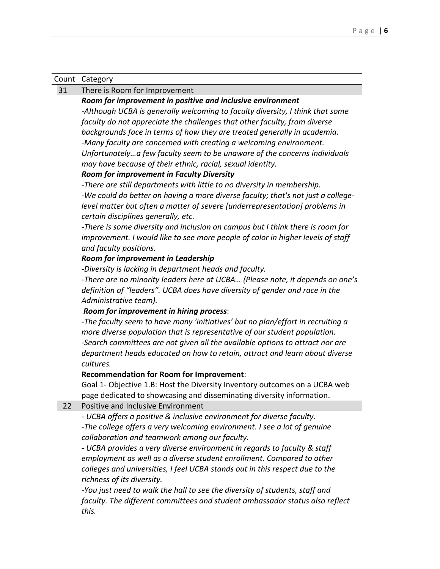#### Count Category

#### 31 There is Room for Improvement

#### *Room for improvement in positive and inclusive environment*

*-Although UCBA is generally welcoming to faculty diversity, I think that some faculty do not appreciate the challenges that other faculty, from diverse backgrounds face in terms of how they are treated generally in academia. -Many faculty are concerned with creating a welcoming environment. Unfortunately…a few faculty seem to be unaware of the concerns individuals* 

*may have because of their ethnic, racial, sexual identity.*

#### *Room for improvement in Faculty Diversity*

*-There are still departments with little to no diversity in membership.*

*-We could do better on having a more diverse faculty; that's not just a collegelevel matter but often a matter of severe [underrepresentation] problems in certain disciplines generally, etc.*

*-There is some diversity and inclusion on campus but I think there is room for improvement. I would like to see more people of color in higher levels of staff and faculty positions.*

#### *Room for improvement in Leadership*

*-Diversity is lacking in department heads and faculty.*

*-There are no minority leaders here at UCBA… (Please note, it depends on one's definition of "leaders". UCBA does have diversity of gender and race in the Administrative team).*

### *Room for improvement in hiring process*:

-*The faculty seem to have many 'initiatives' but no plan/effort in recruiting a more diverse population that is representative of our student population. -Search committees are not given all the available options to attract nor are department heads educated on how to retain, attract and learn about diverse cultures.*

### **Recommendation for Room for Improvement**:

Goal 1- Objective 1.B: Host the Diversity Inventory outcomes on a UCBA web page dedicated to showcasing and disseminating diversity information.

#### 22 Positive and Inclusive Environment

- *UCBA offers a positive & inclusive environment for diverse faculty. -The college offers a very welcoming environment. I see a lot of genuine collaboration and teamwork among our faculty.*

*- UCBA provides a very diverse environment in regards to faculty & staff employment as well as a diverse student enrollment. Compared to other colleges and universities, I feel UCBA stands out in this respect due to the richness of its diversity.*

*-You just need to walk the hall to see the diversity of students, staff and faculty. The different committees and student ambassador status also reflect this.*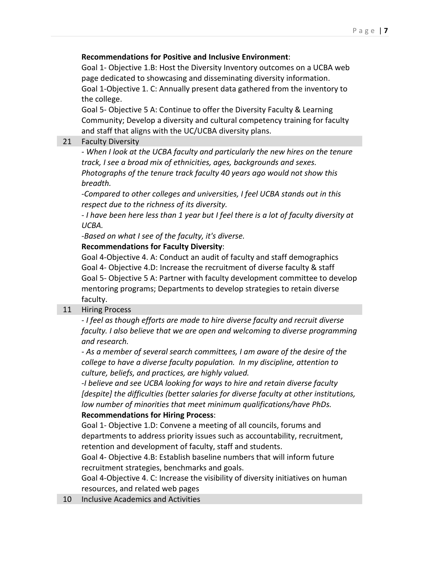# **Recommendations for Positive and Inclusive Environment**:

Goal 1- Objective 1.B: Host the Diversity Inventory outcomes on a UCBA web page dedicated to showcasing and disseminating diversity information. Goal 1-Objective 1. C: Annually present data gathered from the inventory to the college.

Goal 5- Objective 5 A: Continue to offer the Diversity Faculty & Learning Community; Develop a diversity and cultural competency training for faculty and staff that aligns with the UC/UCBA diversity plans.

# 21 Faculty Diversity

*- When I look at the UCBA faculty and particularly the new hires on the tenure track, I see a broad mix of ethnicities, ages, backgrounds and sexes. Photographs of the tenure track faculty 40 years ago would not show this breadth.* 

*-Compared to other colleges and universities, I feel UCBA stands out in this respect due to the richness of its diversity.*

*- I have been here less than 1 year but I feel there is a lot of faculty diversity at UCBA.*

*-Based on what I see of the faculty, it's diverse.*

# **Recommendations for Faculty Diversity**:

Goal 4-Objective 4. A: Conduct an audit of faculty and staff demographics Goal 4- Objective 4.D: Increase the recruitment of diverse faculty & staff Goal 5- Objective 5 A: Partner with faculty development committee to develop mentoring programs; Departments to develop strategies to retain diverse faculty.

# 11 Hiring Process

*- I feel as though efforts are made to hire diverse faculty and recruit diverse faculty. I also believe that we are open and welcoming to diverse programming and research.*

*- As a member of several search committees, I am aware of the desire of the college to have a diverse faculty population. In my discipline, attention to culture, beliefs, and practices, are highly valued.*

*-I believe and see UCBA looking for ways to hire and retain diverse faculty [despite] the difficulties (better salaries for diverse faculty at other institutions, low number of minorities that meet minimum qualifications/have PhDs.* **Recommendations for Hiring Process**:

Goal 1- Objective 1.D: Convene a meeting of all councils, forums and departments to address priority issues such as accountability, recruitment, retention and development of faculty, staff and students.

Goal 4- Objective 4.B: Establish baseline numbers that will inform future recruitment strategies, benchmarks and goals.

Goal 4-Objective 4. C: Increase the visibility of diversity initiatives on human resources, and related web pages

10 Inclusive Academics and Activities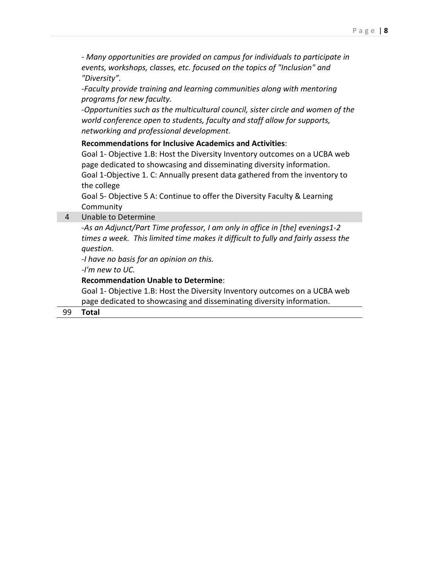*- Many opportunities are provided on campus for individuals to participate in events, workshops, classes, etc. focused on the topics of "Inclusion" and "Diversity".*

*-Faculty provide training and learning communities along with mentoring programs for new faculty.*

*-Opportunities such as the multicultural council, sister circle and women of the world conference open to students, faculty and staff allow for supports, networking and professional development.* 

## **Recommendations for Inclusive Academics and Activities**:

Goal 1- Objective 1.B: Host the Diversity Inventory outcomes on a UCBA web page dedicated to showcasing and disseminating diversity information. Goal 1-Objective 1. C: Annually present data gathered from the inventory to the college

Goal 5- Objective 5 A: Continue to offer the Diversity Faculty & Learning **Community** 

## 4 Unable to Determine

*-As an Adjunct/Part Time professor, I am only in office in [the] evenings1-2 times a week. This limited time makes it difficult to fully and fairly assess the question.*

*-I have no basis for an opinion on this.*

*-I'm new to UC.*

## **Recommendation Unable to Determine**:

Goal 1- Objective 1.B: Host the Diversity Inventory outcomes on a UCBA web page dedicated to showcasing and disseminating diversity information.

## 99 **Total**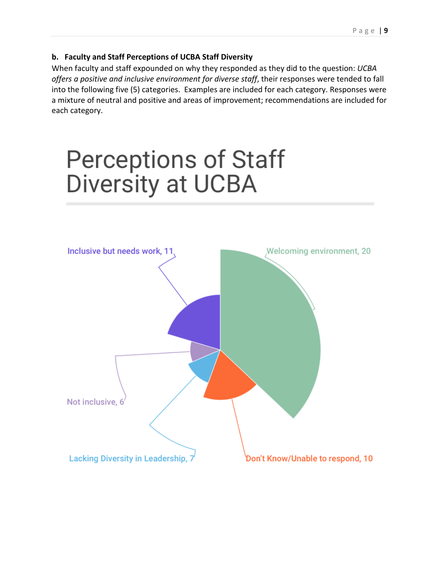# **b. Faculty and Staff Perceptions of UCBA Staff Diversity**

When faculty and staff expounded on why they responded as they did to the question: *UCBA offers a positive and inclusive environment for diverse staff*, their responses were tended to fall into the following five (5) categories. Examples are included for each category. Responses were a mixture of neutral and positive and areas of improvement; recommendations are included for each category.

# **Perceptions of Staff Diversity at UCBA**

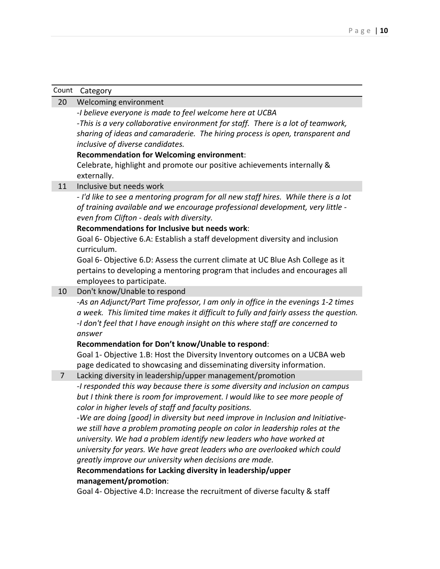| Count          | Category                                                                              |
|----------------|---------------------------------------------------------------------------------------|
| 20             | Welcoming environment                                                                 |
|                | -I believe everyone is made to feel welcome here at UCBA                              |
|                | -This is a very collaborative environment for staff. There is a lot of teamwork,      |
|                | sharing of ideas and camaraderie. The hiring process is open, transparent and         |
|                | inclusive of diverse candidates.                                                      |
|                | <b>Recommendation for Welcoming environment:</b>                                      |
|                | Celebrate, highlight and promote our positive achievements internally &               |
|                | externally.                                                                           |
| 11             | Inclusive but needs work                                                              |
|                | - I'd like to see a mentoring program for all new staff hires. While there is a lot   |
|                | of training available and we encourage professional development, very little -        |
|                | even from Clifton - deals with diversity.                                             |
|                | Recommendations for Inclusive but needs work:                                         |
|                | Goal 6- Objective 6.A: Establish a staff development diversity and inclusion          |
|                | curriculum.                                                                           |
|                | Goal 6- Objective 6.D: Assess the current climate at UC Blue Ash College as it        |
|                | pertains to developing a mentoring program that includes and encourages all           |
|                | employees to participate.                                                             |
| 10             | Don't know/Unable to respond                                                          |
|                | -As an Adjunct/Part Time professor, I am only in office in the evenings 1-2 times     |
|                | a week. This limited time makes it difficult to fully and fairly assess the question. |
|                | -I don't feel that I have enough insight on this where staff are concerned to         |
|                | answer<br>Recommendation for Don't know/Unable to respond:                            |
|                | Goal 1- Objective 1.B: Host the Diversity Inventory outcomes on a UCBA web            |
|                | page dedicated to showcasing and disseminating diversity information.                 |
| $\overline{7}$ | Lacking diversity in leadership/upper management/promotion                            |
|                | -I responded this way because there is some diversity and inclusion on campus         |
|                | but I think there is room for improvement. I would like to see more people of         |
|                | color in higher levels of staff and faculty positions.                                |
|                | -We are doing [good] in diversity but need improve in Inclusion and Initiative-       |
|                | we still have a problem promoting people on color in leadership roles at the          |
|                | university. We had a problem identify new leaders who have worked at                  |
|                | university for years. We have great leaders who are overlooked which could            |
|                | greatly improve our university when decisions are made.                               |
|                | Recommendations for Lacking diversity in leadership/upper                             |
|                | management/promotion:                                                                 |
|                | Goal 4- Objective 4.D: Increase the recruitment of diverse faculty & staff            |
|                |                                                                                       |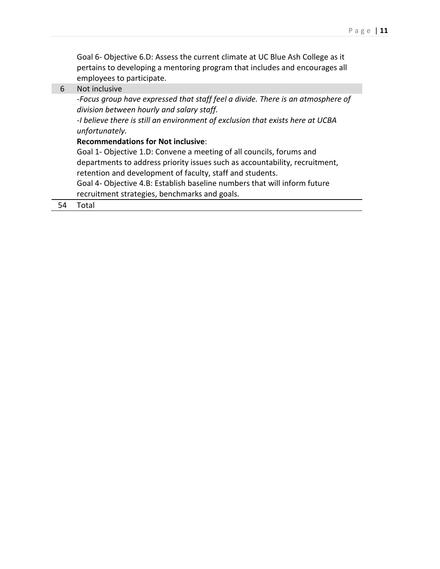Goal 6- Objective 6.D: Assess the current climate at UC Blue Ash College as it pertains to developing a mentoring program that includes and encourages all employees to participate.

6 Not inclusive

*-Focus group have expressed that staff feel a divide. There is an atmosphere of division between hourly and salary staff.*

*-I believe there is still an environment of exclusion that exists here at UCBA unfortunately.*

#### **Recommendations for Not inclusive**:

Goal 1- Objective 1.D: Convene a meeting of all councils, forums and departments to address priority issues such as accountability, recruitment, retention and development of faculty, staff and students.

Goal 4- Objective 4.B: Establish baseline numbers that will inform future recruitment strategies, benchmarks and goals.

54 Total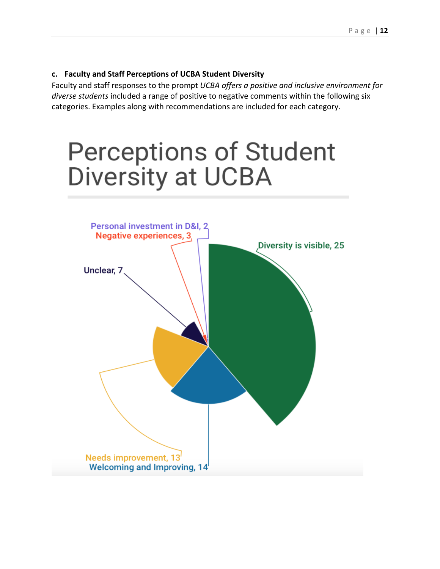## **c. Faculty and Staff Perceptions of UCBA Student Diversity**

Faculty and staff responses to the prompt *UCBA offers a positive and inclusive environment for diverse students* included a range of positive to negative comments within the following six categories. Examples along with recommendations are included for each category.

# **Perceptions of Student** Diversity at UCBA

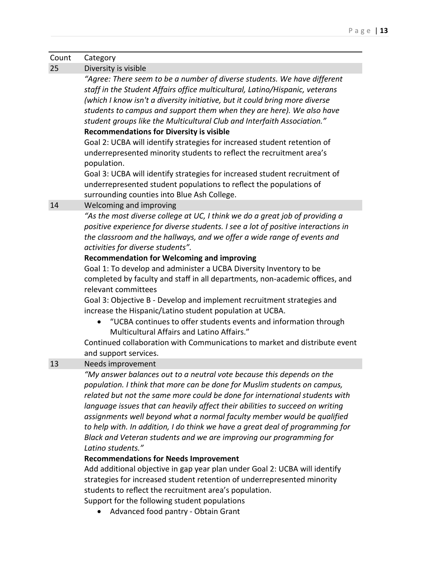| Count | Category                                                                                                                                                                                                                                                                                                                                                                                                                                                                                                                                                                                                                                                                                                                                                                                                                                                                           |
|-------|------------------------------------------------------------------------------------------------------------------------------------------------------------------------------------------------------------------------------------------------------------------------------------------------------------------------------------------------------------------------------------------------------------------------------------------------------------------------------------------------------------------------------------------------------------------------------------------------------------------------------------------------------------------------------------------------------------------------------------------------------------------------------------------------------------------------------------------------------------------------------------|
| 25    | Diversity is visible                                                                                                                                                                                                                                                                                                                                                                                                                                                                                                                                                                                                                                                                                                                                                                                                                                                               |
|       | "Agree: There seem to be a number of diverse students. We have different<br>staff in the Student Affairs office multicultural, Latino/Hispanic, veterans<br>(which I know isn't a diversity initiative, but it could bring more diverse<br>students to campus and support them when they are here). We also have<br>student groups like the Multicultural Club and Interfaith Association."<br><b>Recommendations for Diversity is visible</b><br>Goal 2: UCBA will identify strategies for increased student retention of<br>underrepresented minority students to reflect the recruitment area's<br>population.                                                                                                                                                                                                                                                                  |
|       | Goal 3: UCBA will identify strategies for increased student recruitment of<br>underrepresented student populations to reflect the populations of<br>surrounding counties into Blue Ash College.                                                                                                                                                                                                                                                                                                                                                                                                                                                                                                                                                                                                                                                                                    |
| 14    | Welcoming and improving                                                                                                                                                                                                                                                                                                                                                                                                                                                                                                                                                                                                                                                                                                                                                                                                                                                            |
|       | "As the most diverse college at UC, I think we do a great job of providing a<br>positive experience for diverse students. I see a lot of positive interactions in<br>the classroom and the hallways, and we offer a wide range of events and<br>activities for diverse students".<br><b>Recommendation for Welcoming and improving</b><br>Goal 1: To develop and administer a UCBA Diversity Inventory to be<br>completed by faculty and staff in all departments, non-academic offices, and<br>relevant committees<br>Goal 3: Objective B - Develop and implement recruitment strategies and<br>increase the Hispanic/Latino student population at UCBA.<br>"UCBA continues to offer students events and information through<br>Multicultural Affairs and Latino Affairs."<br>Continued collaboration with Communications to market and distribute event<br>and support services. |
| 13    | Needs improvement<br>"My answer balances out to a neutral vote because this depends on the<br>population. I think that more can be done for Muslim students on campus,<br>related but not the same more could be done for international students with<br>language issues that can heavily affect their abilities to succeed on writing<br>assignments well beyond what a normal faculty member would be qualified<br>to help with. In addition, I do think we have a great deal of programming for<br>Black and Veteran students and we are improving our programming for<br>Latino students."<br><b>Recommendations for Needs Improvement</b><br>Add additional objective in gap year plan under Goal 2: UCBA will identify<br>strategies for increased student retention of underrepresented minority<br>students to reflect the recruitment area's population.                  |

Support for the following student populations

• Advanced food pantry - Obtain Grant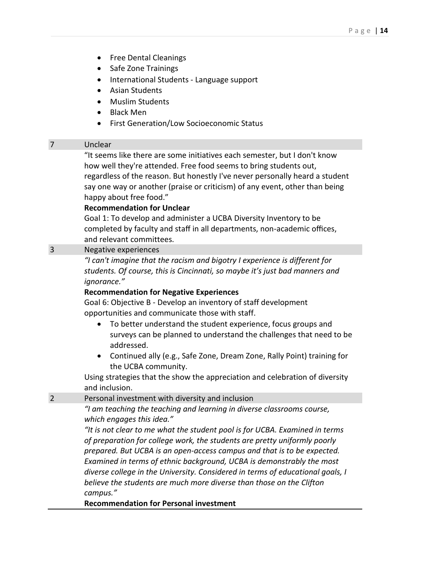- Free Dental Cleanings
- Safe Zone Trainings
- International Students Language support
- Asian Students
- Muslim Students
- Black Men
- First Generation/Low Socioeconomic Status

#### 7 Unclear

"It seems like there are some initiatives each semester, but I don't know how well they're attended. Free food seems to bring students out, regardless of the reason. But honestly I've never personally heard a student say one way or another (praise or criticism) of any event, other than being happy about free food."

### **Recommendation for Unclear**

Goal 1: To develop and administer a UCBA Diversity Inventory to be completed by faculty and staff in all departments, non-academic offices, and relevant committees.

## 3 Negative experiences

*"I can't imagine that the racism and bigotry I experience is different for students. Of course, this is Cincinnati, so maybe it's just bad manners and ignorance."* 

#### **Recommendation for Negative Experiences**

Goal 6: Objective B - Develop an inventory of staff development opportunities and communicate those with staff.

- To better understand the student experience, focus groups and surveys can be planned to understand the challenges that need to be addressed.
- Continued ally (e.g., Safe Zone, Dream Zone, Rally Point) training for the UCBA community.

Using strategies that the show the appreciation and celebration of diversity and inclusion.

#### 2 Personal investment with diversity and inclusion

*"I am teaching the teaching and learning in diverse classrooms course, which engages this idea."*

*"It is not clear to me what the student pool is for UCBA. Examined in terms of preparation for college work, the students are pretty uniformly poorly prepared. But UCBA is an open-access campus and that is to be expected. Examined in terms of ethnic background, UCBA is demonstrably the most diverse college in the University. Considered in terms of educational goals, I believe the students are much more diverse than those on the Clifton campus."*

**Recommendation for Personal investment**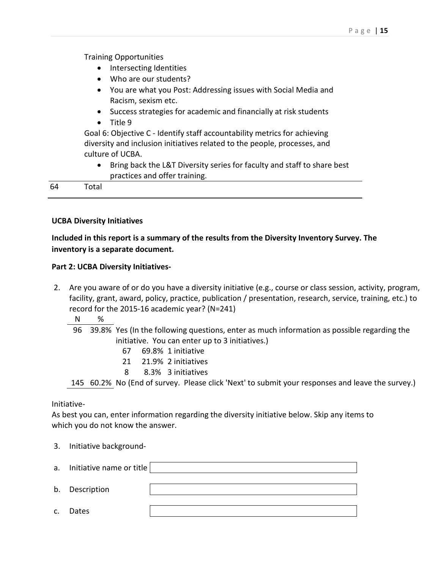Training Opportunities

- Intersecting Identities
- Who are our students?
- You are what you Post: Addressing issues with Social Media and Racism, sexism etc.
- Success strategies for academic and financially at risk students
- Title 9

Goal 6: Objective C - Identify staff accountability metrics for achieving diversity and inclusion initiatives related to the people, processes, and culture of UCBA.

• Bring back the L&T Diversity series for faculty and staff to share best practices and offer training.

64 Total

## **UCBA Diversity Initiatives**

**Included in this report is a summary of the results from the Diversity Inventory Survey. The inventory is a separate document.** 

## **Part 2: UCBA Diversity Initiatives-**

2. Are you aware of or do you have a diversity initiative (e.g., course or class session, activity, program, facility, grant, award, policy, practice, publication / presentation, research, service, training, etc.) to record for the 2015-16 academic year? (N=241)

N %

- 96 39.8% Yes (In the following questions, enter as much information as possible regarding the initiative. You can enter up to 3 initiatives.)
	- 67 69.8% 1 initiative
	- 21 21.9% 2 initiatives
	- 8 8.3% 3 initiatives

145 60.2% No (End of survey. Please click 'Next' to submit your responses and leave the survey.)

### Initiative-

As best you can, enter information regarding the diversity initiative below. Skip any items to which you do not know the answer.

3. Initiative background-

|                | a. Initiative name or title |  |
|----------------|-----------------------------|--|
|                |                             |  |
|                | b. Description              |  |
|                |                             |  |
| $\mathsf{C}$ . | Dates                       |  |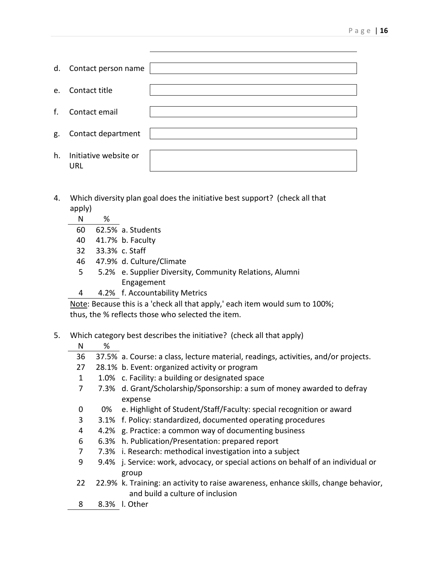| d.             | Contact person name          |  |
|----------------|------------------------------|--|
| e <sub>z</sub> | Contact title                |  |
| f.             | Contact email                |  |
| g.             | Contact department           |  |
| h.             | Initiative website or<br>URL |  |

- 4. Which diversity plan goal does the initiative best support? (check all that apply)
	- N %
	- 60 62.5% a. Students
	- 40 41.7% b. Faculty
	- 32 33.3% c. Staff
	- 46 47.9% d. Culture/Climate
	- 5 5.2% e. Supplier Diversity, Community Relations, Alumni Engagement
	- 4 4.2% f. Accountability Metrics

Note: Because this is a 'check all that apply,' each item would sum to 100%; thus, the % reflects those who selected the item.

5. Which category best describes the initiative? (check all that apply)

| ۱ı | ٠, |
|----|----|
|    |    |

- 36 37.5% a. Course: a class, lecture material, readings, activities, and/or projects.
- 27 28.1% b. Event: organized activity or program
- 1 1.0% c. Facility: a building or designated space
- 7 7.3% d. Grant/Scholarship/Sponsorship: a sum of money awarded to defray expense
- 0 0% e. Highlight of Student/Staff/Faculty: special recognition or award
- 3 3.1% f. Policy: standardized, documented operating procedures
- 4 4.2% g. Practice: a common way of documenting business
- 6 6.3% h. Publication/Presentation: prepared report
- 7 7.3% i. Research: methodical investigation into a subject
- 9 9.4% j. Service: work, advocacy, or special actions on behalf of an individual or group
- 22 22.9% k. Training: an activity to raise awareness, enhance skills, change behavior, and build a culture of inclusion
- 8 8.3% l. Other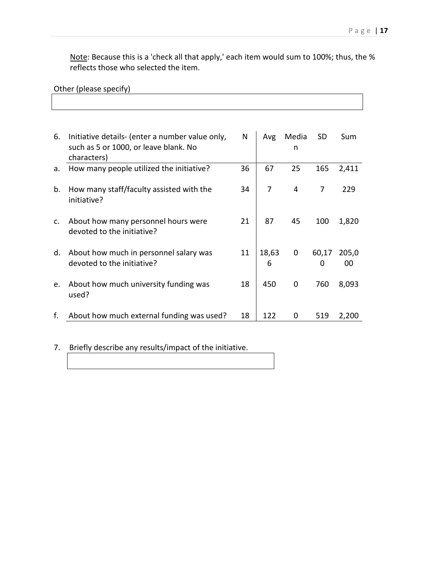٦

Note: Because this is a 'check all that apply,' each item would sum to 100%; thus, the % reflects those who selected the item.

| Other (please specify) |  |  |  |  |
|------------------------|--|--|--|--|
|------------------------|--|--|--|--|

| 6. | Initiative details- (enter a number value only,<br>such as 5 or 1000, or leave blank. No | N  | Avg        | Media<br>n  | <b>SD</b>  | Sum         |
|----|------------------------------------------------------------------------------------------|----|------------|-------------|------------|-------------|
|    | characters)                                                                              |    |            |             |            |             |
| a. | How many people utilized the initiative?                                                 | 36 | 67         | 25          | 165        | 2,411       |
|    |                                                                                          |    |            |             |            |             |
| b. | How many staff/faculty assisted with the<br>initiative?                                  | 34 | 7          | 4           | 7          | 229         |
| c. | About how many personnel hours were<br>devoted to the initiative?                        | 21 | 87         | 45          | 100        | 1,820       |
| d. | About how much in personnel salary was<br>devoted to the initiative?                     | 11 | 18,63<br>6 | $\mathbf 0$ | 60,17<br>0 | 205,0<br>00 |
| e. | About how much university funding was<br>used?                                           | 18 | 450        | 0           | 760        | 8,093       |
| f. | About how much external funding was used?                                                | 18 | 122        | 0           | 519        | 2,200       |

# 7. Briefly describe any results/impact of the initiative.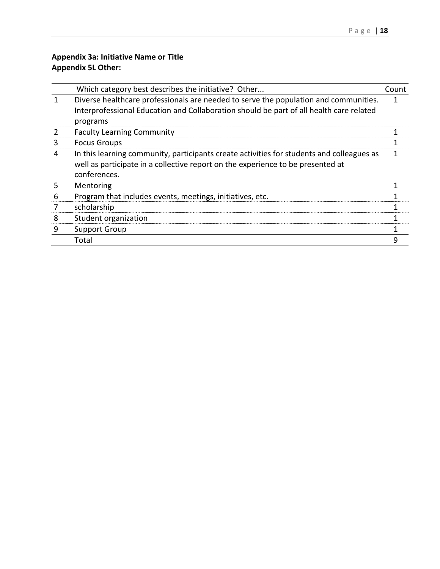# **Appendix 3a: Initiative Name or Title Appendix 5L Other:**

|   | Which category best describes the initiative? Other                                       | Count |
|---|-------------------------------------------------------------------------------------------|-------|
|   | Diverse healthcare professionals are needed to serve the population and communities.      |       |
|   | Interprofessional Education and Collaboration should be part of all health care related   |       |
|   | programs                                                                                  |       |
|   | <b>Faculty Learning Community</b>                                                         |       |
| 3 | <b>Focus Groups</b>                                                                       |       |
| 4 | In this learning community, participants create activities for students and colleagues as |       |
|   | well as participate in a collective report on the experience to be presented at           |       |
|   | conferences.                                                                              |       |
| 5 | Mentoring                                                                                 |       |
| h | Program that includes events, meetings, initiatives, etc.                                 |       |
|   | scholarship                                                                               |       |
| 8 | Student organization                                                                      |       |
| 9 | <b>Support Group</b>                                                                      |       |
|   | Total                                                                                     |       |